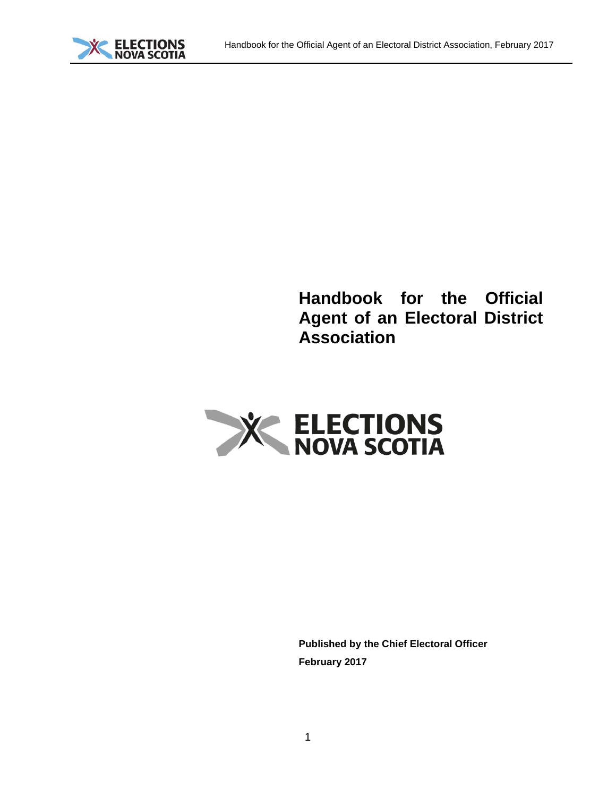# **Handbook for the Official Agent of an Electoral District Association**



**Published by the Chief Electoral Officer February 2017**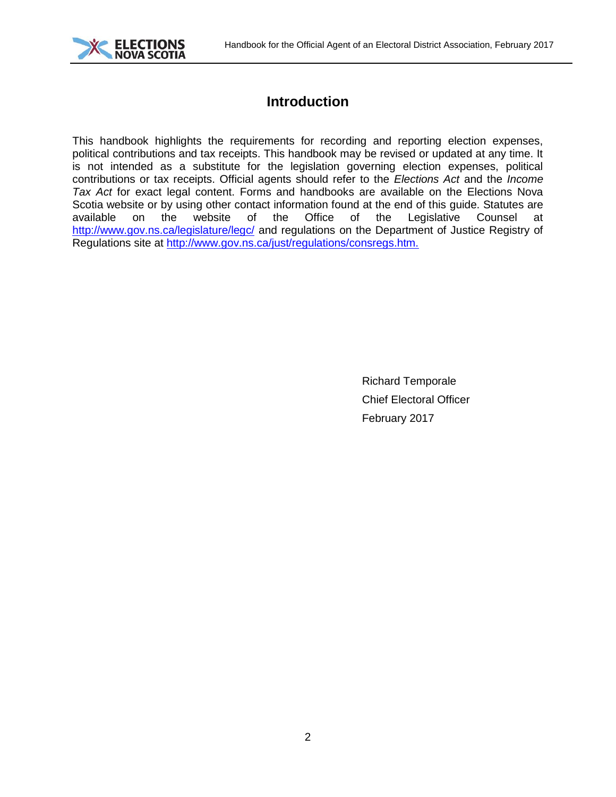

## **Introduction**

This handbook highlights the requirements for recording and reporting election expenses, political contributions and tax receipts. This handbook may be revised or updated at any time. It is not intended as a substitute for the legislation governing election expenses, political contributions or tax receipts. Official agents should refer to the *Elections Act* and the *Income Tax Act* for exact legal content. Forms and handbooks are available on the Elections Nova Scotia website or by using other contact information found at the end of this guide. Statutes are available on the website of the Office of the Legislative Counsel at available on the website of the Office of the Legislative Counsel at <http://www.gov.ns.ca/legislature/legc/> and regulations on the Department of Justice Registry of Regulations site at<http://www.gov.ns.ca/just/regulations/consregs.htm.>

> Richard Temporale Chief Electoral Officer February 2017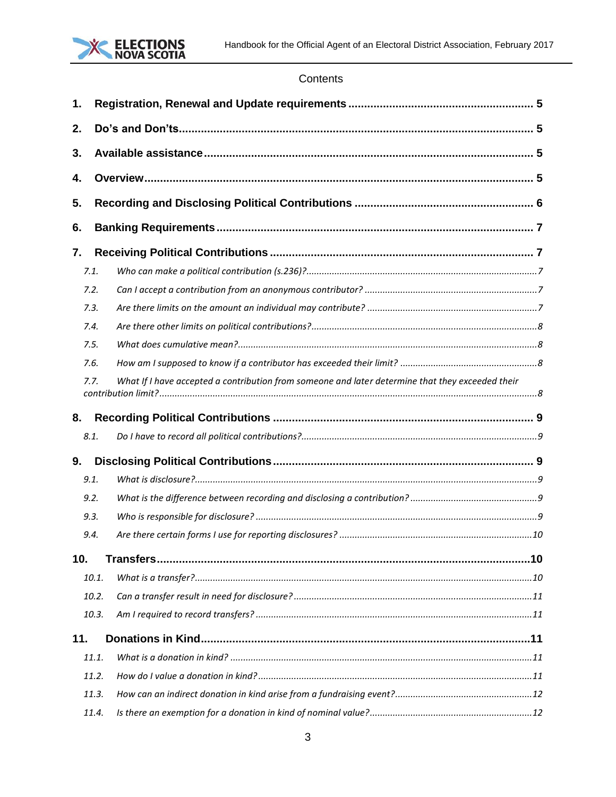

## Contents

| 1.  |       |                                                                                                  |  |  |
|-----|-------|--------------------------------------------------------------------------------------------------|--|--|
| 2.  |       |                                                                                                  |  |  |
| 3.  |       |                                                                                                  |  |  |
| 4.  |       |                                                                                                  |  |  |
|     |       |                                                                                                  |  |  |
| 5.  |       |                                                                                                  |  |  |
| 6.  |       |                                                                                                  |  |  |
| 7.  |       |                                                                                                  |  |  |
|     | 7.1.  |                                                                                                  |  |  |
|     | 7.2.  |                                                                                                  |  |  |
|     | 7.3.  |                                                                                                  |  |  |
|     | 7.4.  |                                                                                                  |  |  |
|     | 7.5.  |                                                                                                  |  |  |
|     | 7.6.  |                                                                                                  |  |  |
|     | 7.7.  | What If I have accepted a contribution from someone and later determine that they exceeded their |  |  |
|     |       |                                                                                                  |  |  |
| 8.  |       |                                                                                                  |  |  |
|     | 8.1.  |                                                                                                  |  |  |
| 9.  |       |                                                                                                  |  |  |
|     | 9.1.  |                                                                                                  |  |  |
|     | 9.2.  |                                                                                                  |  |  |
|     | 9.3.  |                                                                                                  |  |  |
|     | 9.4.  |                                                                                                  |  |  |
| 10. |       |                                                                                                  |  |  |
|     | 10.1. |                                                                                                  |  |  |
|     | 10.2. |                                                                                                  |  |  |
|     | 10.3. |                                                                                                  |  |  |
| 11. |       |                                                                                                  |  |  |
|     | 11.1. |                                                                                                  |  |  |
|     | 11.2. |                                                                                                  |  |  |
|     | 11.3. |                                                                                                  |  |  |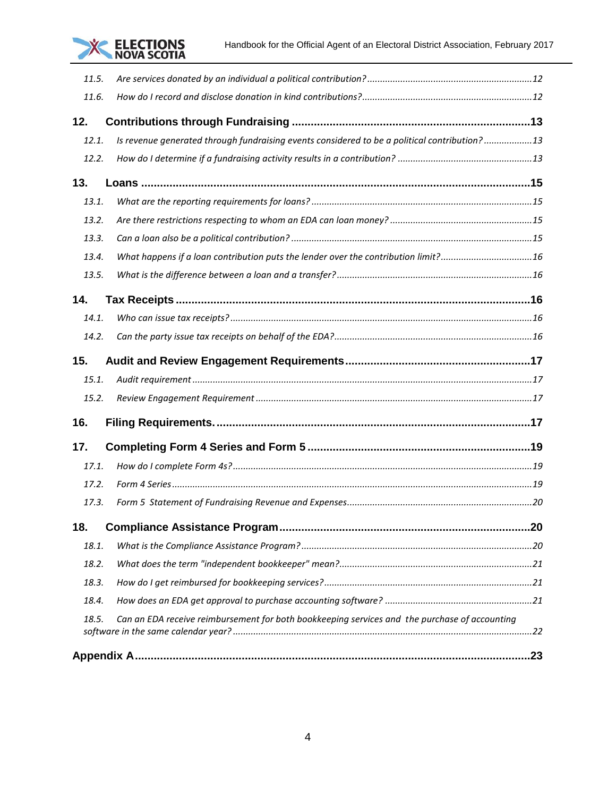

| 11.5. |                                                                                               |  |
|-------|-----------------------------------------------------------------------------------------------|--|
| 11.6. |                                                                                               |  |
| 12.   |                                                                                               |  |
| 12.1. | Is revenue generated through fundraising events considered to be a political contribution?13  |  |
| 12.2. |                                                                                               |  |
| 13.   |                                                                                               |  |
| 13.1. |                                                                                               |  |
| 13.2. |                                                                                               |  |
| 13.3. |                                                                                               |  |
| 13.4. | What happens if a loan contribution puts the lender over the contribution limit?16            |  |
| 13.5. |                                                                                               |  |
| 14.   |                                                                                               |  |
| 14.1. |                                                                                               |  |
| 14.2. |                                                                                               |  |
| 15.   |                                                                                               |  |
| 15.1. |                                                                                               |  |
| 15.2. |                                                                                               |  |
| 16.   |                                                                                               |  |
| 17.   |                                                                                               |  |
| 17.1. |                                                                                               |  |
| 17.2. |                                                                                               |  |
| 17.3. |                                                                                               |  |
| 18.   |                                                                                               |  |
| 18.1. |                                                                                               |  |
| 18.2. |                                                                                               |  |
| 18.3. |                                                                                               |  |
| 18.4. |                                                                                               |  |
| 18.5. | Can an EDA receive reimbursement for both bookkeeping services and the purchase of accounting |  |
|       |                                                                                               |  |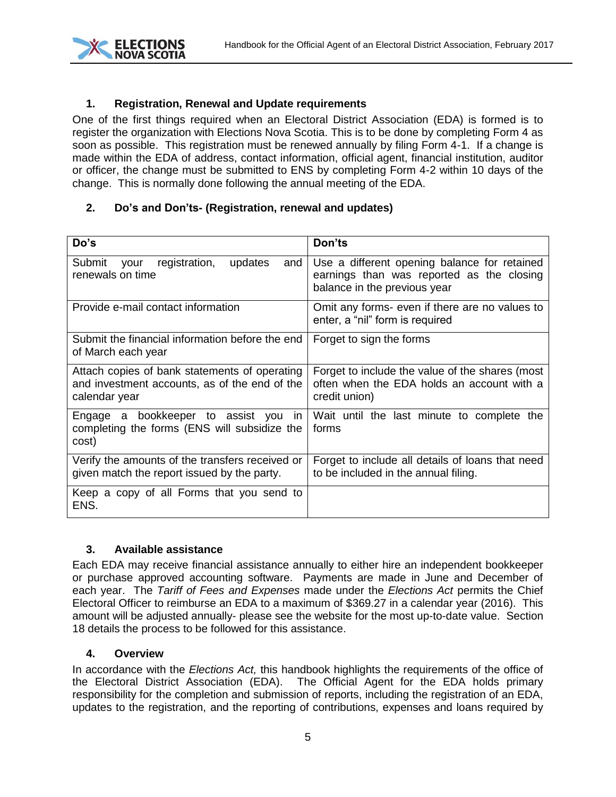

#### <span id="page-4-0"></span>**1. Registration, Renewal and Update requirements**

One of the first things required when an Electoral District Association (EDA) is formed is to register the organization with Elections Nova Scotia. This is to be done by completing Form 4 as soon as possible. This registration must be renewed annually by filing Form 4-1. If a change is made within the EDA of address, contact information, official agent, financial institution, auditor or officer, the change must be submitted to ENS by completing Form 4-2 within 10 days of the change. This is normally done following the annual meeting of the EDA.

#### <span id="page-4-1"></span>**2. Do's and Don'ts- (Registration, renewal and updates)**

| Do's                                                                                                            | Don'ts                                                                                                                    |
|-----------------------------------------------------------------------------------------------------------------|---------------------------------------------------------------------------------------------------------------------------|
| registration,<br>Submit<br>updates<br>and<br>your<br>renewals on time                                           | Use a different opening balance for retained<br>earnings than was reported as the closing<br>balance in the previous year |
| Provide e-mail contact information                                                                              | Omit any forms- even if there are no values to<br>enter, a "nil" form is required                                         |
| Submit the financial information before the end<br>of March each year                                           | Forget to sign the forms                                                                                                  |
| Attach copies of bank statements of operating<br>and investment accounts, as of the end of the<br>calendar year | Forget to include the value of the shares (most<br>often when the EDA holds an account with a<br>credit union)            |
| Engage a bookkeeper to assist you<br>in.<br>completing the forms (ENS will subsidize the<br>cost)               | Wait until the last minute to complete the<br>forms                                                                       |
| Verify the amounts of the transfers received or<br>given match the report issued by the party.                  | Forget to include all details of loans that need<br>to be included in the annual filing.                                  |
| Keep a copy of all Forms that you send to<br>ENS.                                                               |                                                                                                                           |

#### <span id="page-4-2"></span>**3. Available assistance**

Each EDA may receive financial assistance annually to either hire an independent bookkeeper or purchase approved accounting software. Payments are made in June and December of each year. The *Tariff of Fees and Expenses* made under the *Elections Act* permits the Chief Electoral Officer to reimburse an EDA to a maximum of \$369.27 in a calendar year (2016). This amount will be adjusted annually- please see the website for the most up-to-date value. Section 18 details the process to be followed for this assistance.

#### <span id="page-4-3"></span>**4. Overview**

In accordance with the *Elections Act,* this handbook highlights the requirements of the office of the Electoral District Association (EDA). The Official Agent for the EDA holds primary responsibility for the completion and submission of reports, including the registration of an EDA, updates to the registration, and the reporting of contributions, expenses and loans required by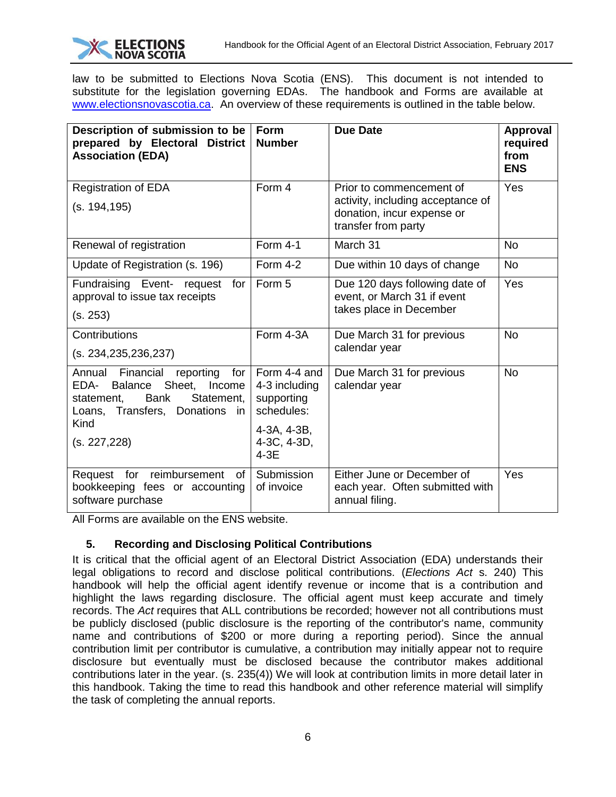law to be submitted to Elections Nova Scotia (ENS). This document is not intended to substitute for the legislation governing EDAs. The handbook and Forms are available at [www.electionsnovascotia.ca.](http://www.electionsnovascotia.ca/) An overview of these requirements is outlined in the table below.

| Description of submission to be<br>prepared by Electoral District<br><b>Association (EDA)</b>                                                                                                            | <b>Form</b><br><b>Number</b>                                                                      | <b>Due Date</b>                                                                                                    | <b>Approval</b><br>required<br>from<br><b>ENS</b> |
|----------------------------------------------------------------------------------------------------------------------------------------------------------------------------------------------------------|---------------------------------------------------------------------------------------------------|--------------------------------------------------------------------------------------------------------------------|---------------------------------------------------|
| <b>Registration of EDA</b><br>(s. 194,195)                                                                                                                                                               | Form 4                                                                                            | Prior to commencement of<br>activity, including acceptance of<br>donation, incur expense or<br>transfer from party | Yes                                               |
| Renewal of registration                                                                                                                                                                                  | Form 4-1                                                                                          | March 31                                                                                                           | <b>No</b>                                         |
| Update of Registration (s. 196)                                                                                                                                                                          | Form 4-2                                                                                          | Due within 10 days of change                                                                                       | <b>No</b>                                         |
| Fundraising Event- request<br>for<br>approval to issue tax receipts<br>(s. 253)                                                                                                                          | Form 5                                                                                            | Due 120 days following date of<br>event, or March 31 if event<br>takes place in December                           | Yes                                               |
| Contributions<br>(s. 234, 235, 236, 237)                                                                                                                                                                 | Form 4-3A                                                                                         | Due March 31 for previous<br>calendar year                                                                         | <b>No</b>                                         |
| Financial<br>Annual<br>reporting<br>for<br>Sheet,<br>EDA-<br>Income<br><b>Balance</b><br><b>Bank</b><br>Statement,<br>statement,<br>Loans, Transfers,<br><b>Donations</b><br>in.<br>Kind<br>(s. 227,228) | Form 4-4 and<br>4-3 including<br>supporting<br>schedules:<br>4-3A, 4-3B,<br>4-3C, 4-3D,<br>$4-3E$ | Due March 31 for previous<br>calendar year                                                                         | <b>No</b>                                         |
| for<br>reimbursement<br>Request<br>of l<br>bookkeeping fees or accounting<br>software purchase                                                                                                           | Submission<br>of invoice                                                                          | Either June or December of<br>each year. Often submitted with<br>annual filing.                                    | Yes                                               |

<span id="page-5-0"></span>All Forms are available on the ENS website.

## **5. Recording and Disclosing Political Contributions**

It is critical that the official agent of an Electoral District Association (EDA) understands their legal obligations to record and disclose political contributions. (*Elections Act* s. 240) This handbook will help the official agent identify revenue or income that is a contribution and highlight the laws regarding disclosure. The official agent must keep accurate and timely records. The *Act* requires that ALL contributions be recorded; however not all contributions must be publicly disclosed (public disclosure is the reporting of the contributor's name, community name and contributions of \$200 or more during a reporting period). Since the annual contribution limit per contributor is cumulative, a contribution may initially appear not to require disclosure but eventually must be disclosed because the contributor makes additional contributions later in the year. (s. 235(4)) We will look at contribution limits in more detail later in this handbook. Taking the time to read this handbook and other reference material will simplify the task of completing the annual reports.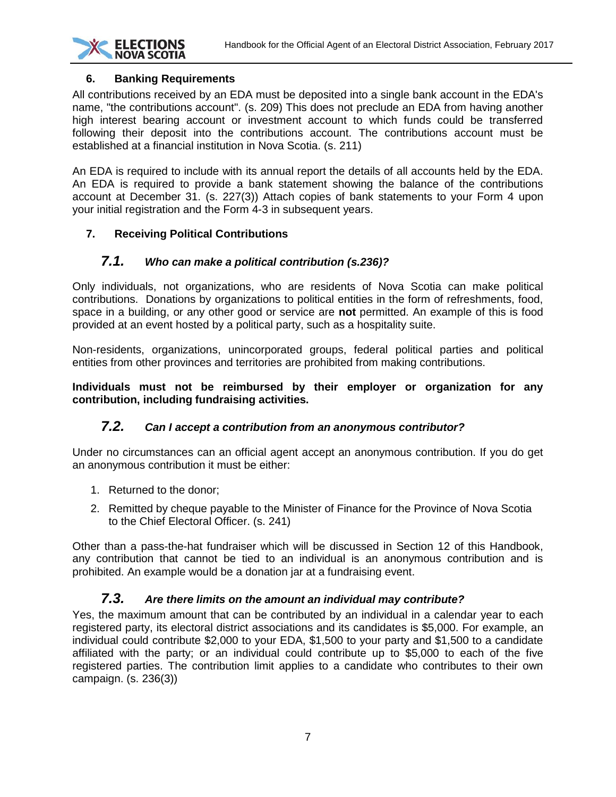

## <span id="page-6-0"></span>**6. Banking Requirements**

All contributions received by an EDA must be deposited into a single bank account in the EDA's name, "the contributions account". (s. 209) This does not preclude an EDA from having another high interest bearing account or investment account to which funds could be transferred following their deposit into the contributions account. The contributions account must be established at a financial institution in Nova Scotia. (s. 211)

An EDA is required to include with its annual report the details of all accounts held by the EDA. An EDA is required to provide a bank statement showing the balance of the contributions account at December 31. (s. 227(3)) Attach copies of bank statements to your Form 4 upon your initial registration and the Form 4-3 in subsequent years.

## <span id="page-6-2"></span><span id="page-6-1"></span>**7. Receiving Political Contributions**

## *7.1. Who can make a political contribution (s.236)?*

Only individuals, not organizations, who are residents of Nova Scotia can make political contributions. Donations by organizations to political entities in the form of refreshments, food, space in a building, or any other good or service are **not** permitted. An example of this is food provided at an event hosted by a political party, such as a hospitality suite.

Non-residents, organizations, unincorporated groups, federal political parties and political entities from other provinces and territories are prohibited from making contributions.

**Individuals must not be reimbursed by their employer or organization for any contribution, including fundraising activities.**

## *7.2. Can I accept a contribution from an anonymous contributor?*

<span id="page-6-3"></span>Under no circumstances can an official agent accept an anonymous contribution. If you do get an anonymous contribution it must be either:

- 1. Returned to the donor;
- 2. Remitted by cheque payable to the Minister of Finance for the Province of Nova Scotia to the Chief Electoral Officer. (s. 241)

Other than a pass-the-hat fundraiser which will be discussed in Section 12 of this Handbook, any contribution that cannot be tied to an individual is an anonymous contribution and is prohibited. An example would be a donation jar at a fundraising event.

## *7.3. Are there limits on the amount an individual may contribute?*

<span id="page-6-4"></span>Yes, the maximum amount that can be contributed by an individual in a calendar year to each registered party, its electoral district associations and its candidates is \$5,000. For example, an individual could contribute \$2,000 to your EDA, \$1,500 to your party and \$1,500 to a candidate affiliated with the party; or an individual could contribute up to \$5,000 to each of the five registered parties. The contribution limit applies to a candidate who contributes to their own campaign. (s. 236(3))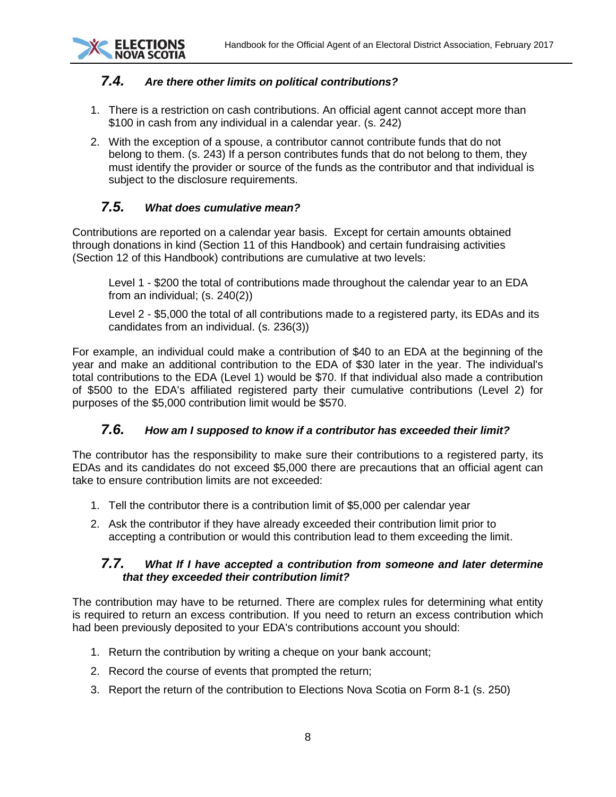

## <span id="page-7-0"></span>*7.4. Are there other limits on political contributions?*

- 1. There is a restriction on cash contributions. An official agent cannot accept more than \$100 in cash from any individual in a calendar year. (s. 242)
- 2. With the exception of a spouse, a contributor cannot contribute funds that do not belong to them. (s. 243) If a person contributes funds that do not belong to them, they must identify the provider or source of the funds as the contributor and that individual is subject to the disclosure requirements.

## *7.5. What does cumulative mean?*

<span id="page-7-1"></span>Contributions are reported on a calendar year basis. Except for certain amounts obtained through donations in kind (Section 11 of this Handbook) and certain fundraising activities (Section 12 of this Handbook) contributions are cumulative at two levels:

Level 1 - \$200 the total of contributions made throughout the calendar year to an EDA from an individual; (s. 240(2))

Level 2 - \$5,000 the total of all contributions made to a registered party, its EDAs and its candidates from an individual. (s. 236(3))

For example, an individual could make a contribution of \$40 to an EDA at the beginning of the year and make an additional contribution to the EDA of \$30 later in the year. The individual's total contributions to the EDA (Level 1) would be \$70. If that individual also made a contribution of \$500 to the EDA's affiliated registered party their cumulative contributions (Level 2) for purposes of the \$5,000 contribution limit would be \$570.

## *7.6. How am I supposed to know if a contributor has exceeded their limit?*

<span id="page-7-2"></span>The contributor has the responsibility to make sure their contributions to a registered party, its EDAs and its candidates do not exceed \$5,000 there are precautions that an official agent can take to ensure contribution limits are not exceeded:

- 1. Tell the contributor there is a contribution limit of \$5,000 per calendar year
- 2. Ask the contributor if they have already exceeded their contribution limit prior to accepting a contribution or would this contribution lead to them exceeding the limit.

#### <span id="page-7-3"></span>*7.7. What If I have accepted a contribution from someone and later determine that they exceeded their contribution limit?*

The contribution may have to be returned. There are complex rules for determining what entity is required to return an excess contribution. If you need to return an excess contribution which had been previously deposited to your EDA's contributions account you should:

- 1. Return the contribution by writing a cheque on your bank account;
- 2. Record the course of events that prompted the return;
- 3. Report the return of the contribution to Elections Nova Scotia on Form 8-1 (s. 250)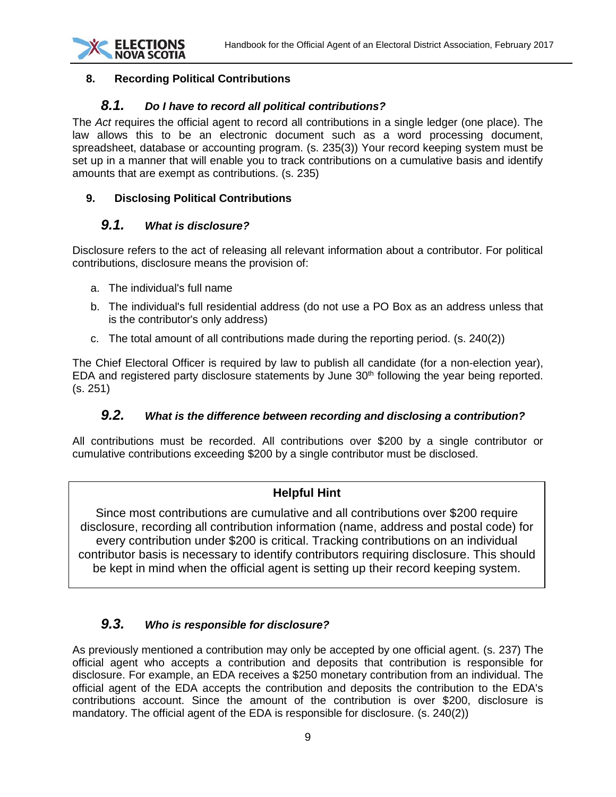

#### <span id="page-8-1"></span><span id="page-8-0"></span>**8. Recording Political Contributions**

#### *8.1. Do I have to record all political contributions?*

The *Act* requires the official agent to record all contributions in a single ledger (one place). The law allows this to be an electronic document such as a word processing document, spreadsheet, database or accounting program. (s. 235(3)) Your record keeping system must be set up in a manner that will enable you to track contributions on a cumulative basis and identify amounts that are exempt as contributions. (s. 235)

#### <span id="page-8-3"></span><span id="page-8-2"></span>**9. Disclosing Political Contributions**

## *9.1. What is disclosure?*

Disclosure refers to the act of releasing all relevant information about a contributor. For political contributions, disclosure means the provision of:

- a. The individual's full name
- b. The individual's full residential address (do not use a PO Box as an address unless that is the contributor's only address)
- c. The total amount of all contributions made during the reporting period. (s. 240(2))

The Chief Electoral Officer is required by law to publish all candidate (for a non-election year), EDA and registered party disclosure statements by June 30<sup>th</sup> following the year being reported. (s. 251)

## *9.2. What is the difference between recording and disclosing a contribution?*

<span id="page-8-4"></span>All contributions must be recorded. All contributions over \$200 by a single contributor or cumulative contributions exceeding \$200 by a single contributor must be disclosed.

## **Helpful Hint**

Since most contributions are cumulative and all contributions over \$200 require disclosure, recording all contribution information (name, address and postal code) for every contribution under \$200 is critical. Tracking contributions on an individual contributor basis is necessary to identify contributors requiring disclosure. This should be kept in mind when the official agent is setting up their record keeping system.

## <span id="page-8-5"></span>*9.3. Who is responsible for disclosure?*

As previously mentioned a contribution may only be accepted by one official agent. (s. 237) The official agent who accepts a contribution and deposits that contribution is responsible for disclosure. For example, an EDA receives a \$250 monetary contribution from an individual. The official agent of the EDA accepts the contribution and deposits the contribution to the EDA's contributions account. Since the amount of the contribution is over \$200, disclosure is mandatory. The official agent of the EDA is responsible for disclosure. (s. 240(2))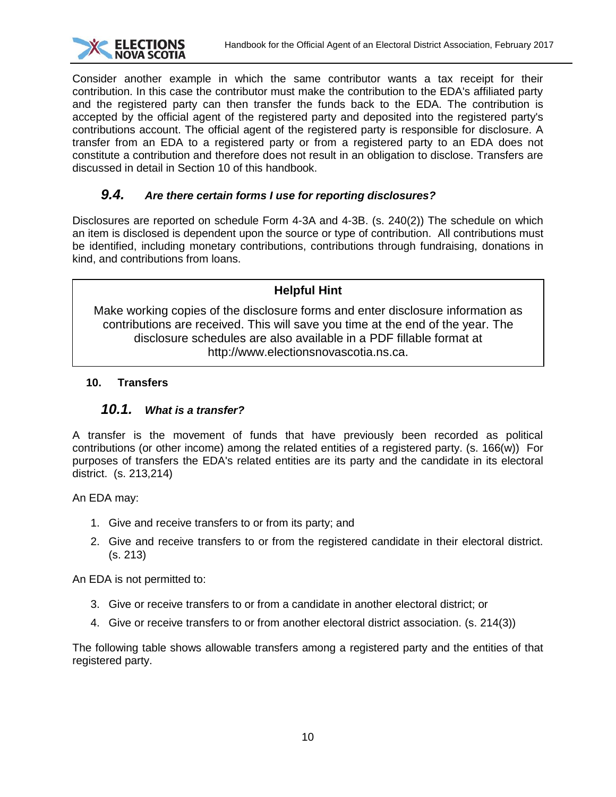

Consider another example in which the same contributor wants a tax receipt for their contribution. In this case the contributor must make the contribution to the EDA's affiliated party and the registered party can then transfer the funds back to the EDA. The contribution is accepted by the official agent of the registered party and deposited into the registered party's contributions account. The official agent of the registered party is responsible for disclosure. A transfer from an EDA to a registered party or from a registered party to an EDA does not constitute a contribution and therefore does not result in an obligation to disclose. Transfers are discussed in detail in Section 10 of this handbook.

## *9.4. Are there certain forms I use for reporting disclosures?*

<span id="page-9-0"></span>Disclosures are reported on schedule Form 4-3A and 4-3B. (s. 240(2)) The schedule on which an item is disclosed is dependent upon the source or type of contribution. All contributions must be identified, including monetary contributions, contributions through fundraising, donations in kind, and contributions from loans.

## **Helpful Hint**

Make working copies of the disclosure forms and enter disclosure information as contributions are received. This will save you time at the end of the year. The disclosure schedules are also available in a PDF fillable format at http://www.electionsnovascotia.ns.ca.

## <span id="page-9-2"></span><span id="page-9-1"></span>**10. Transfers**

## *10.1. What is a transfer?*

A transfer is the movement of funds that have previously been recorded as political contributions (or other income) among the related entities of a registered party. (s. 166(w)) For purposes of transfers the EDA's related entities are its party and the candidate in its electoral district. (s. 213,214)

An EDA may:

- 1. Give and receive transfers to or from its party; and
- 2. Give and receive transfers to or from the registered candidate in their electoral district. (s. 213)

An EDA is not permitted to:

- 3. Give or receive transfers to or from a candidate in another electoral district; or
- 4. Give or receive transfers to or from another electoral district association. (s. 214(3))

The following table shows allowable transfers among a registered party and the entities of that registered party.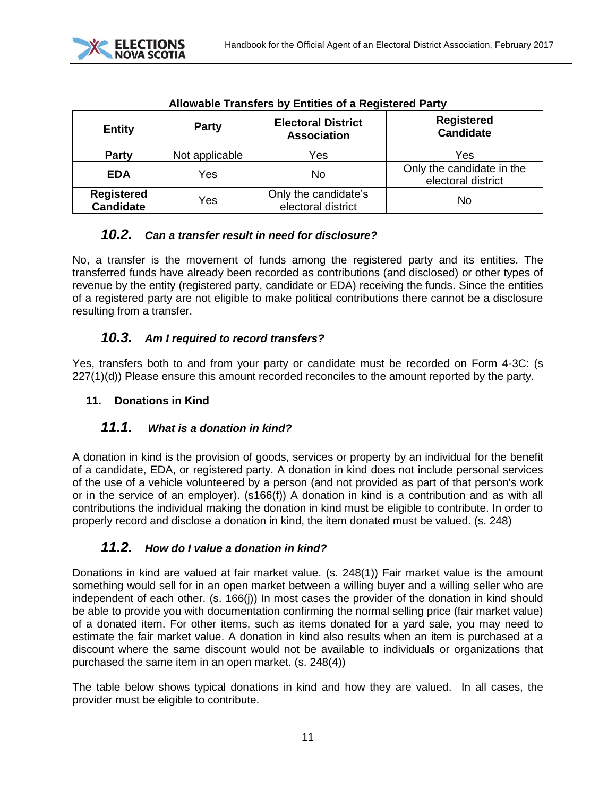

| Allowable Transiers by Entitles of a Registered Party |                |                                                 |                                                 |  |
|-------------------------------------------------------|----------------|-------------------------------------------------|-------------------------------------------------|--|
| <b>Entity</b>                                         | <b>Party</b>   | <b>Electoral District</b><br><b>Association</b> | <b>Registered</b><br><b>Candidate</b>           |  |
| <b>Party</b>                                          | Not applicable | Yes                                             | Yes                                             |  |
| <b>EDA</b>                                            | Yes            | No                                              | Only the candidate in the<br>electoral district |  |
| <b>Registered</b><br><b>Candidate</b>                 | Yes            | Only the candidate's<br>electoral district      | No                                              |  |

## **Allowable Transfers by Entities of a Registered Party**

## <span id="page-10-0"></span>*10.2. Can a transfer result in need for disclosure?*

No, a transfer is the movement of funds among the registered party and its entities. The transferred funds have already been recorded as contributions (and disclosed) or other types of revenue by the entity (registered party, candidate or EDA) receiving the funds. Since the entities of a registered party are not eligible to make political contributions there cannot be a disclosure resulting from a transfer.

## *10.3. Am I required to record transfers?*

<span id="page-10-1"></span>Yes, transfers both to and from your party or candidate must be recorded on Form 4-3C: (s  $227(1)(d)$ ) Please ensure this amount recorded reconciles to the amount reported by the party.

#### <span id="page-10-2"></span>**11. Donations in Kind**

## <span id="page-10-3"></span>*11.1. What is a donation in kind?*

A donation in kind is the provision of goods, services or property by an individual for the benefit of a candidate, EDA, or registered party. A donation in kind does not include personal services of the use of a vehicle volunteered by a person (and not provided as part of that person's work or in the service of an employer). (s166(f)) A donation in kind is a contribution and as with all contributions the individual making the donation in kind must be eligible to contribute. In order to properly record and disclose a donation in kind, the item donated must be valued. (s. 248)

## <span id="page-10-4"></span>*11.2. How do I value a donation in kind?*

Donations in kind are valued at fair market value. (s. 248(1)) Fair market value is the amount something would sell for in an open market between a willing buyer and a willing seller who are independent of each other. (s. 166(j)) In most cases the provider of the donation in kind should be able to provide you with documentation confirming the normal selling price (fair market value) of a donated item. For other items, such as items donated for a yard sale, you may need to estimate the fair market value. A donation in kind also results when an item is purchased at a discount where the same discount would not be available to individuals or organizations that purchased the same item in an open market. (s. 248(4))

The table below shows typical donations in kind and how they are valued. In all cases, the provider must be eligible to contribute.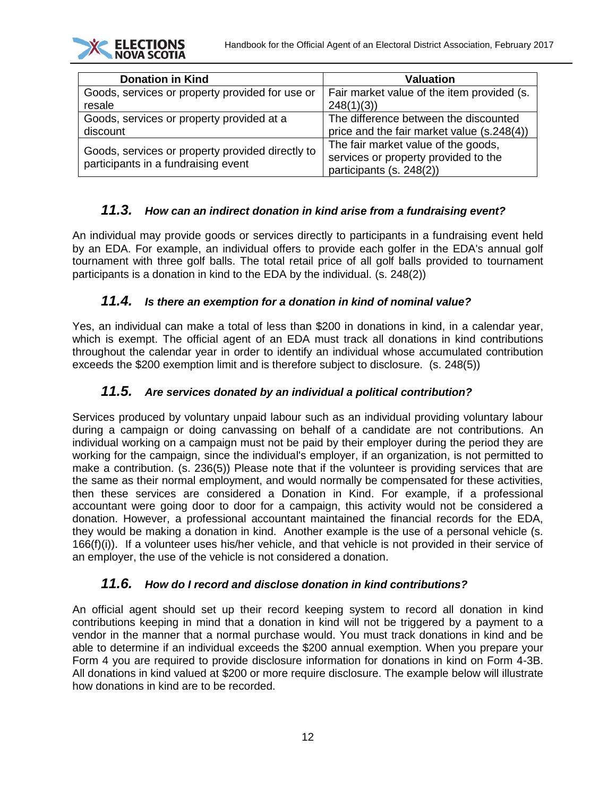| <b>Donation in Kind</b>                                                                 | <b>Valuation</b>                                                                                        |
|-----------------------------------------------------------------------------------------|---------------------------------------------------------------------------------------------------------|
| Goods, services or property provided for use or                                         | Fair market value of the item provided (s.                                                              |
| resale                                                                                  | 248(1)(3)                                                                                               |
| Goods, services or property provided at a                                               | The difference between the discounted                                                                   |
| discount                                                                                | price and the fair market value (s.248(4))                                                              |
| Goods, services or property provided directly to<br>participants in a fundraising event | The fair market value of the goods,<br>services or property provided to the<br>participants (s. 248(2)) |

**ECTIONS** 

## *11.3. How can an indirect donation in kind arise from a fundraising event?*

<span id="page-11-0"></span>An individual may provide goods or services directly to participants in a fundraising event held by an EDA. For example, an individual offers to provide each golfer in the EDA's annual golf tournament with three golf balls. The total retail price of all golf balls provided to tournament participants is a donation in kind to the EDA by the individual. (s. 248(2))

#### *11.4. Is there an exemption for a donation in kind of nominal value?*

<span id="page-11-1"></span>Yes, an individual can make a total of less than \$200 in donations in kind, in a calendar year, which is exempt. The official agent of an EDA must track all donations in kind contributions throughout the calendar year in order to identify an individual whose accumulated contribution exceeds the \$200 exemption limit and is therefore subject to disclosure. (s. 248(5))

#### *11.5. Are services donated by an individual a political contribution?*

<span id="page-11-2"></span>Services produced by voluntary unpaid labour such as an individual providing voluntary labour during a campaign or doing canvassing on behalf of a candidate are not contributions. An individual working on a campaign must not be paid by their employer during the period they are working for the campaign, since the individual's employer, if an organization, is not permitted to make a contribution. (s. 236(5)) Please note that if the volunteer is providing services that are the same as their normal employment, and would normally be compensated for these activities, then these services are considered a Donation in Kind. For example, if a professional accountant were going door to door for a campaign, this activity would not be considered a donation. However, a professional accountant maintained the financial records for the EDA, they would be making a donation in kind. Another example is the use of a personal vehicle (s. 166(f)(i)). If a volunteer uses his/her vehicle, and that vehicle is not provided in their service of an employer, the use of the vehicle is not considered a donation.

#### *11.6. How do I record and disclose donation in kind contributions?*

<span id="page-11-3"></span>An official agent should set up their record keeping system to record all donation in kind contributions keeping in mind that a donation in kind will not be triggered by a payment to a vendor in the manner that a normal purchase would. You must track donations in kind and be able to determine if an individual exceeds the \$200 annual exemption. When you prepare your Form 4 you are required to provide disclosure information for donations in kind on Form 4-3B. All donations in kind valued at \$200 or more require disclosure. The example below will illustrate how donations in kind are to be recorded.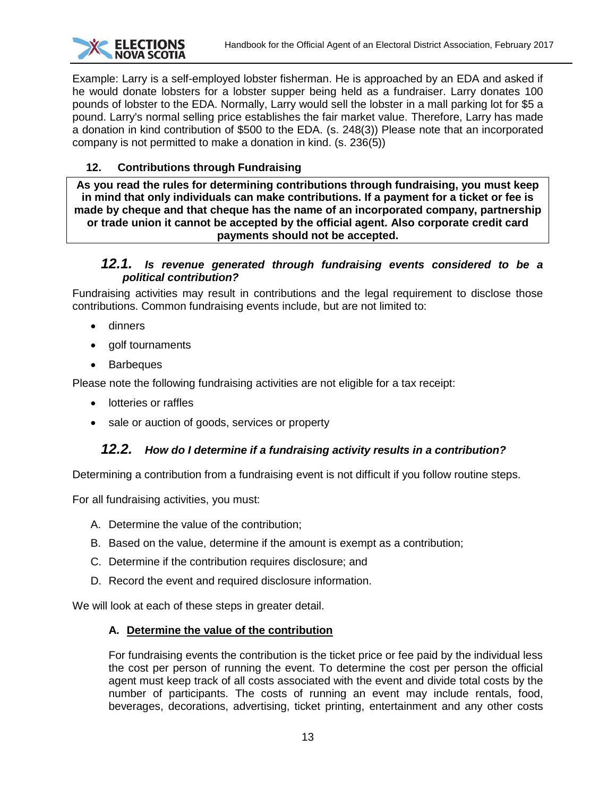

Example: Larry is a self-employed lobster fisherman. He is approached by an EDA and asked if he would donate lobsters for a lobster supper being held as a fundraiser. Larry donates 100 pounds of lobster to the EDA. Normally, Larry would sell the lobster in a mall parking lot for \$5 a pound. Larry's normal selling price establishes the fair market value. Therefore, Larry has made a donation in kind contribution of \$500 to the EDA. (s. 248(3)) Please note that an incorporated company is not permitted to make a donation in kind. (s. 236(5))

## <span id="page-12-0"></span>**12. Contributions through Fundraising**

**As you read the rules for determining contributions through fundraising, you must keep in mind that only individuals can make contributions. If a payment for a ticket or fee is made by cheque and that cheque has the name of an incorporated company, partnership or trade union it cannot be accepted by the official agent. Also corporate credit card payments should not be accepted.**

#### <span id="page-12-1"></span>*12.1. Is revenue generated through fundraising events considered to be a political contribution?*

Fundraising activities may result in contributions and the legal requirement to disclose those contributions. Common fundraising events include, but are not limited to:

- dinners
- golf tournaments
- **Barbeques**

Please note the following fundraising activities are not eligible for a tax receipt:

- lotteries or raffles
- <span id="page-12-2"></span>• sale or auction of goods, services or property

## *12.2. How do I determine if a fundraising activity results in a contribution?*

Determining a contribution from a fundraising event is not difficult if you follow routine steps.

For all fundraising activities, you must:

- A. Determine the value of the contribution;
- B. Based on the value, determine if the amount is exempt as a contribution;
- C. Determine if the contribution requires disclosure; and
- D. Record the event and required disclosure information.

We will look at each of these steps in greater detail.

#### **A. Determine the value of the contribution**

For fundraising events the contribution is the ticket price or fee paid by the individual less the cost per person of running the event. To determine the cost per person the official agent must keep track of all costs associated with the event and divide total costs by the number of participants. The costs of running an event may include rentals, food, beverages, decorations, advertising, ticket printing, entertainment and any other costs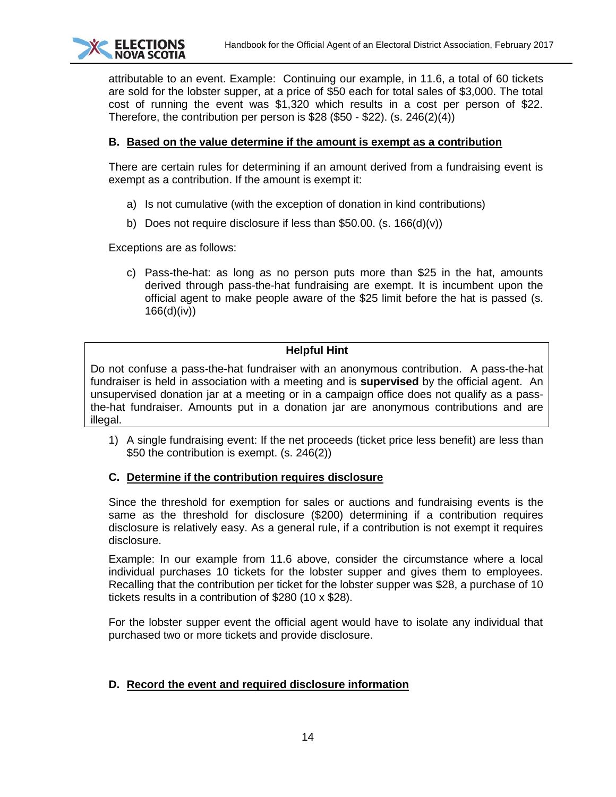

attributable to an event. Example: Continuing our example, in 11.6, a total of 60 tickets are sold for the lobster supper, at a price of \$50 each for total sales of \$3,000. The total cost of running the event was \$1,320 which results in a cost per person of \$22. Therefore, the contribution per person is \$28 (\$50 - \$22). (s. 246(2)(4))

#### **B. Based on the value determine if the amount is exempt as a contribution**

There are certain rules for determining if an amount derived from a fundraising event is exempt as a contribution. If the amount is exempt it:

- a) Is not cumulative (with the exception of donation in kind contributions)
- b) Does not require disclosure if less than \$50.00. (s.  $166(d)(v)$ )

Exceptions are as follows:

c) Pass-the-hat: as long as no person puts more than \$25 in the hat, amounts derived through pass-the-hat fundraising are exempt. It is incumbent upon the official agent to make people aware of the \$25 limit before the hat is passed (s. 166(d)(iv))

#### **Helpful Hint**

Do not confuse a pass-the-hat fundraiser with an anonymous contribution. A pass-the-hat fundraiser is held in association with a meeting and is **supervised** by the official agent. An unsupervised donation jar at a meeting or in a campaign office does not qualify as a passthe-hat fundraiser. Amounts put in a donation jar are anonymous contributions and are illegal.

1) A single fundraising event: If the net proceeds (ticket price less benefit) are less than \$50 the contribution is exempt. (s. 246(2))

#### **C. Determine if the contribution requires disclosure**

Since the threshold for exemption for sales or auctions and fundraising events is the same as the threshold for disclosure (\$200) determining if a contribution requires disclosure is relatively easy. As a general rule, if a contribution is not exempt it requires disclosure.

Example: In our example from 11.6 above, consider the circumstance where a local individual purchases 10 tickets for the lobster supper and gives them to employees. Recalling that the contribution per ticket for the lobster supper was \$28, a purchase of 10 tickets results in a contribution of \$280 (10 x \$28).

For the lobster supper event the official agent would have to isolate any individual that purchased two or more tickets and provide disclosure.

#### **D. Record the event and required disclosure information**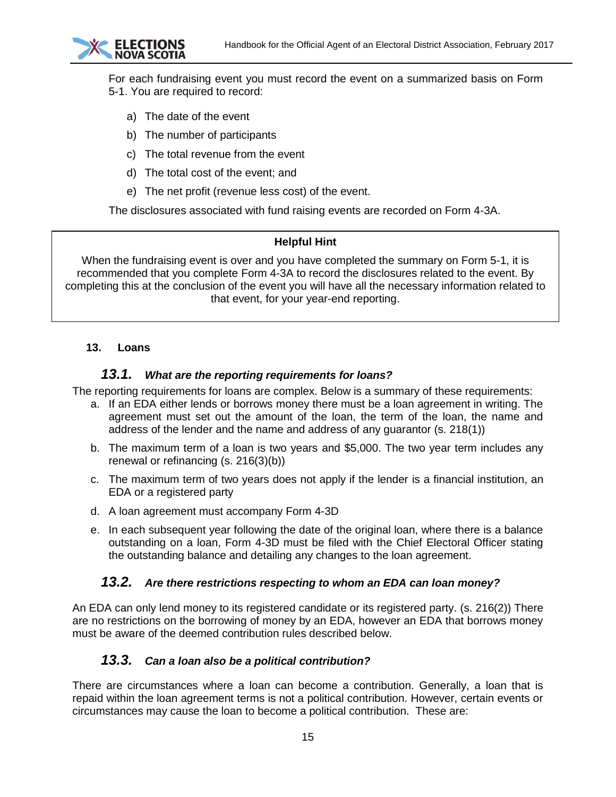

For each fundraising event you must record the event on a summarized basis on Form 5-1. You are required to record:

- a) The date of the event
- b) The number of participants
- c) The total revenue from the event
- d) The total cost of the event; and
- e) The net profit (revenue less cost) of the event.

The disclosures associated with fund raising events are recorded on Form 4-3A.

#### **Helpful Hint**

When the fundraising event is over and you have completed the summary on Form 5-1, it is recommended that you complete Form 4-3A to record the disclosures related to the event. By completing this at the conclusion of the event you will have all the necessary information related to that event, for your year-end reporting.

#### <span id="page-14-1"></span><span id="page-14-0"></span>**13. Loans**

### *13.1. What are the reporting requirements for loans?*

The reporting requirements for loans are complex. Below is a summary of these requirements:

- a. If an EDA either lends or borrows money there must be a loan agreement in writing. The agreement must set out the amount of the loan, the term of the loan, the name and address of the lender and the name and address of any guarantor (s. 218(1))
- b. The maximum term of a loan is two years and \$5,000. The two year term includes any renewal or refinancing (s. 216(3)(b))
- c. The maximum term of two years does not apply if the lender is a financial institution, an EDA or a registered party
- d. A loan agreement must accompany Form 4-3D
- e. In each subsequent year following the date of the original loan, where there is a balance outstanding on a loan, Form 4-3D must be filed with the Chief Electoral Officer stating the outstanding balance and detailing any changes to the loan agreement.

#### <span id="page-14-2"></span>*13.2. Are there restrictions respecting to whom an EDA can loan money?*

An EDA can only lend money to its registered candidate or its registered party. (s. 216(2)) There are no restrictions on the borrowing of money by an EDA, however an EDA that borrows money must be aware of the deemed contribution rules described below.

## *13.3. Can a loan also be a political contribution?*

<span id="page-14-3"></span>There are circumstances where a loan can become a contribution. Generally, a loan that is repaid within the loan agreement terms is not a political contribution. However, certain events or circumstances may cause the loan to become a political contribution. These are: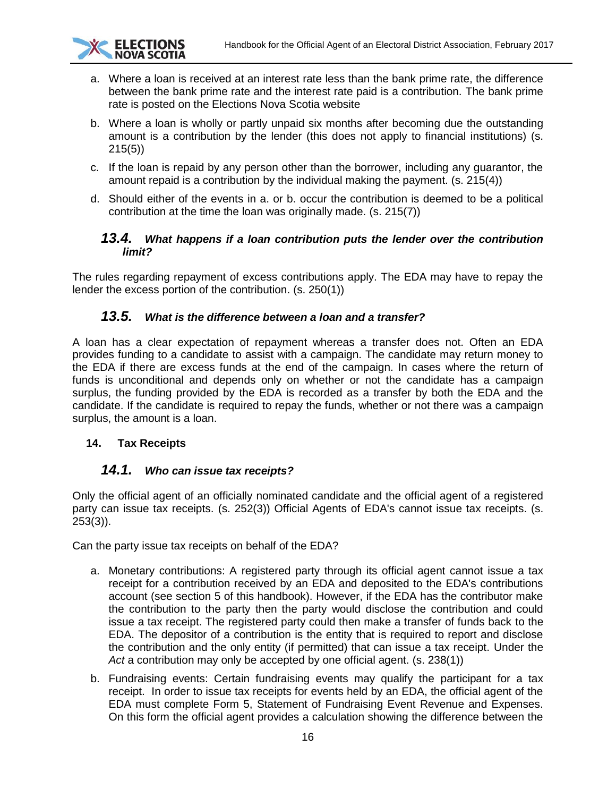

- a. Where a loan is received at an interest rate less than the bank prime rate, the difference between the bank prime rate and the interest rate paid is a contribution. The bank prime rate is posted on the Elections Nova Scotia website
- b. Where a loan is wholly or partly unpaid six months after becoming due the outstanding amount is a contribution by the lender (this does not apply to financial institutions) (s. 215(5))
- c. If the loan is repaid by any person other than the borrower, including any guarantor, the amount repaid is a contribution by the individual making the payment. (s. 215(4))
- d. Should either of the events in a. or b. occur the contribution is deemed to be a political contribution at the time the loan was originally made. (s. 215(7))

## <span id="page-15-0"></span>*13.4. What happens if a loan contribution puts the lender over the contribution limit?*

The rules regarding repayment of excess contributions apply. The EDA may have to repay the lender the excess portion of the contribution. (s. 250(1))

## *13.5. What is the difference between a loan and a transfer?*

<span id="page-15-1"></span>A loan has a clear expectation of repayment whereas a transfer does not. Often an EDA provides funding to a candidate to assist with a campaign. The candidate may return money to the EDA if there are excess funds at the end of the campaign. In cases where the return of funds is unconditional and depends only on whether or not the candidate has a campaign surplus, the funding provided by the EDA is recorded as a transfer by both the EDA and the candidate. If the candidate is required to repay the funds, whether or not there was a campaign surplus, the amount is a loan.

#### <span id="page-15-3"></span><span id="page-15-2"></span>**14. Tax Receipts**

## *14.1. Who can issue tax receipts?*

<span id="page-15-4"></span>Only the official agent of an officially nominated candidate and the official agent of a registered party can issue tax receipts. (s. 252(3)) Official Agents of EDA's cannot issue tax receipts. (s. 253(3)).

Can the party issue tax receipts on behalf of the EDA?

- a. Monetary contributions: A registered party through its official agent cannot issue a tax receipt for a contribution received by an EDA and deposited to the EDA's contributions account (see section 5 of this handbook). However, if the EDA has the contributor make the contribution to the party then the party would disclose the contribution and could issue a tax receipt. The registered party could then make a transfer of funds back to the EDA. The depositor of a contribution is the entity that is required to report and disclose the contribution and the only entity (if permitted) that can issue a tax receipt. Under the *Act* a contribution may only be accepted by one official agent. (s. 238(1))
- b. Fundraising events: Certain fundraising events may qualify the participant for a tax receipt. In order to issue tax receipts for events held by an EDA, the official agent of the EDA must complete Form 5, Statement of Fundraising Event Revenue and Expenses. On this form the official agent provides a calculation showing the difference between the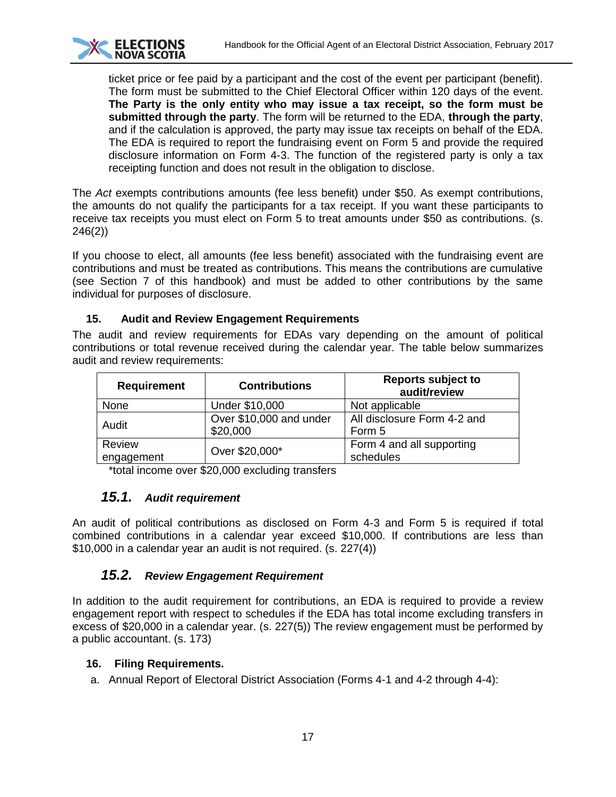

ticket price or fee paid by a participant and the cost of the event per participant (benefit). The form must be submitted to the Chief Electoral Officer within 120 days of the event. **The Party is the only entity who may issue a tax receipt, so the form must be submitted through the party**. The form will be returned to the EDA, **through the party**, and if the calculation is approved, the party may issue tax receipts on behalf of the EDA. The EDA is required to report the fundraising event on Form 5 and provide the required disclosure information on Form 4-3. The function of the registered party is only a tax receipting function and does not result in the obligation to disclose.

The *Act* exempts contributions amounts (fee less benefit) under \$50. As exempt contributions, the amounts do not qualify the participants for a tax receipt. If you want these participants to receive tax receipts you must elect on Form 5 to treat amounts under \$50 as contributions. (s. 246(2))

If you choose to elect, all amounts (fee less benefit) associated with the fundraising event are contributions and must be treated as contributions. This means the contributions are cumulative (see Section 7 of this handbook) and must be added to other contributions by the same individual for purposes of disclosure.

#### <span id="page-16-0"></span>**15. Audit and Review Engagement Requirements**

The audit and review requirements for EDAs vary depending on the amount of political contributions or total revenue received during the calendar year. The table below summarizes audit and review requirements:

| <b>Requirement</b>   | <b>Contributions</b>                | <b>Reports subject to</b><br>audit/review |
|----------------------|-------------------------------------|-------------------------------------------|
| None                 | Under \$10,000                      | Not applicable                            |
| Audit                | Over \$10,000 and under<br>\$20,000 | All disclosure Form 4-2 and<br>Form 5     |
| Review<br>engagement | Over \$20,000*                      | Form 4 and all supporting<br>schedules    |

\*total income over \$20,000 excluding transfers

## *15.1. Audit requirement*

<span id="page-16-1"></span>An audit of political contributions as disclosed on Form 4-3 and Form 5 is required if total combined contributions in a calendar year exceed \$10,000. If contributions are less than \$10,000 in a calendar year an audit is not required. (s. 227(4))

## *15.2. Review Engagement Requirement*

<span id="page-16-2"></span>In addition to the audit requirement for contributions, an EDA is required to provide a review engagement report with respect to schedules if the EDA has total income excluding transfers in excess of \$20,000 in a calendar year. (s. 227(5)) The review engagement must be performed by a public accountant. (s. 173)

#### <span id="page-16-3"></span>**16. Filing Requirements.**

a. Annual Report of Electoral District Association (Forms 4-1 and 4-2 through 4-4):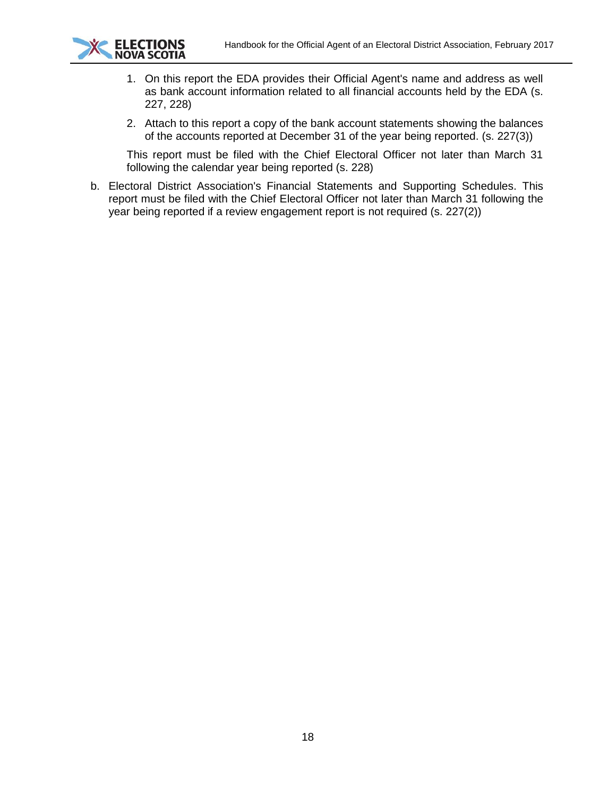

- 1. On this report the EDA provides their Official Agent's name and address as well as bank account information related to all financial accounts held by the EDA (s. 227, 228)
- 2. Attach to this report a copy of the bank account statements showing the balances of the accounts reported at December 31 of the year being reported. (s. 227(3))

This report must be filed with the Chief Electoral Officer not later than March 31 following the calendar year being reported (s. 228)

b. Electoral District Association's Financial Statements and Supporting Schedules. This report must be filed with the Chief Electoral Officer not later than March 31 following the year being reported if a review engagement report is not required (s. 227(2))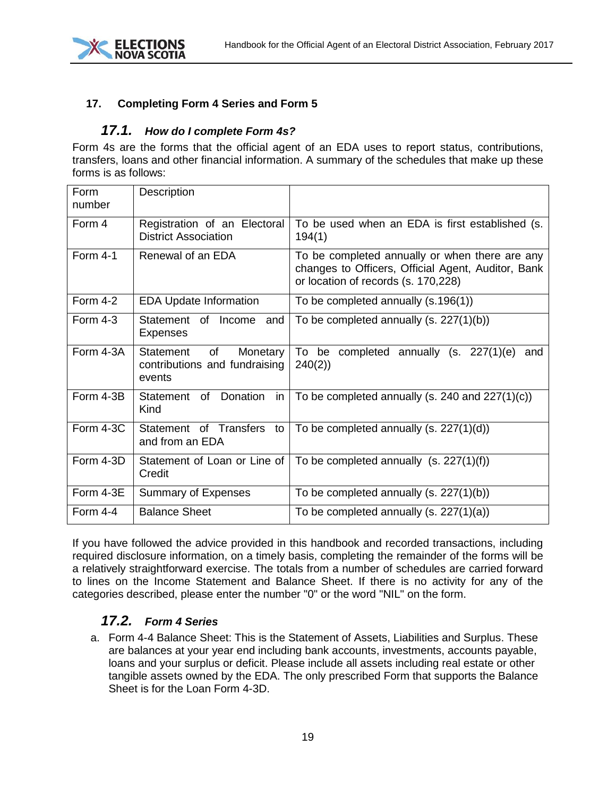

## <span id="page-18-1"></span><span id="page-18-0"></span>**17. Completing Form 4 Series and Form 5**

## *17.1. How do I complete Form 4s?*

Form 4s are the forms that the official agent of an EDA uses to report status, contributions, transfers, loans and other financial information. A summary of the schedules that make up these forms is as follows:

| Form<br>number | Description                                                            |                                                                                                                                             |
|----------------|------------------------------------------------------------------------|---------------------------------------------------------------------------------------------------------------------------------------------|
| Form 4         | Registration of an Electoral<br><b>District Association</b>            | To be used when an EDA is first established (s.<br>194(1)                                                                                   |
| Form $4-1$     | Renewal of an EDA                                                      | To be completed annually or when there are any<br>changes to Officers, Official Agent, Auditor, Bank<br>or location of records (s. 170,228) |
| Form 4-2       | <b>EDA Update Information</b>                                          | To be completed annually (s.196(1))                                                                                                         |
| Form $4-3$     | Statement of Income<br>and<br><b>Expenses</b>                          | To be completed annually $(s. 227(1)(b))$                                                                                                   |
| Form 4-3A      | of<br>Statement<br>Monetary<br>contributions and fundraising<br>events | To be<br>completed annually (s.<br>227(1)(e)<br>and<br>240(2)                                                                               |
| Form 4-3B      | Statement of Donation<br><i>in</i><br>Kind                             | To be completed annually (s. 240 and $227(1)(c)$ )                                                                                          |
| Form 4-3C      | Statement of Transfers to<br>and from an EDA                           | To be completed annually $(s. 227(1)(d))$                                                                                                   |
| Form 4-3D      | Statement of Loan or Line of<br>Credit                                 | To be completed annually $(s. 227(1)(f))$                                                                                                   |
| Form 4-3E      | <b>Summary of Expenses</b>                                             | To be completed annually $(s. 227(1)(b))$                                                                                                   |
| Form 4-4       | <b>Balance Sheet</b>                                                   | To be completed annually $(s. 227(1)(a))$                                                                                                   |

If you have followed the advice provided in this handbook and recorded transactions, including required disclosure information, on a timely basis, completing the remainder of the forms will be a relatively straightforward exercise. The totals from a number of schedules are carried forward to lines on the Income Statement and Balance Sheet. If there is no activity for any of the categories described, please enter the number "0" or the word "NIL" on the form.

## *17.2. Form 4 Series*

<span id="page-18-2"></span>a. Form 4-4 Balance Sheet: This is the Statement of Assets, Liabilities and Surplus. These are balances at your year end including bank accounts, investments, accounts payable, loans and your surplus or deficit. Please include all assets including real estate or other tangible assets owned by the EDA. The only prescribed Form that supports the Balance Sheet is for the Loan Form 4-3D.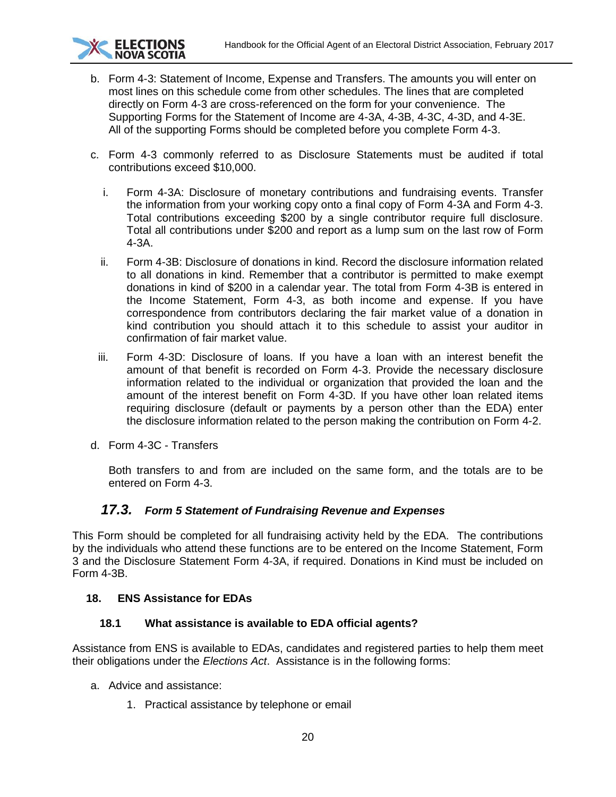

- b. Form 4-3: Statement of Income, Expense and Transfers. The amounts you will enter on most lines on this schedule come from other schedules. The lines that are completed directly on Form 4-3 are cross-referenced on the form for your convenience. The Supporting Forms for the Statement of Income are 4-3A, 4-3B, 4-3C, 4-3D, and 4-3E. All of the supporting Forms should be completed before you complete Form 4-3.
- c. Form 4-3 commonly referred to as Disclosure Statements must be audited if total contributions exceed \$10,000.
	- i. Form 4-3A: Disclosure of monetary contributions and fundraising events. Transfer the information from your working copy onto a final copy of Form 4-3A and Form 4-3. Total contributions exceeding \$200 by a single contributor require full disclosure. Total all contributions under \$200 and report as a lump sum on the last row of Form 4-3A.
	- ii. Form 4-3B: Disclosure of donations in kind. Record the disclosure information related to all donations in kind. Remember that a contributor is permitted to make exempt donations in kind of \$200 in a calendar year. The total from Form 4-3B is entered in the Income Statement, Form 4-3, as both income and expense. If you have correspondence from contributors declaring the fair market value of a donation in kind contribution you should attach it to this schedule to assist your auditor in confirmation of fair market value.
	- iii. Form 4-3D: Disclosure of loans. If you have a loan with an interest benefit the amount of that benefit is recorded on Form 4-3. Provide the necessary disclosure information related to the individual or organization that provided the loan and the amount of the interest benefit on Form 4-3D. If you have other loan related items requiring disclosure (default or payments by a person other than the EDA) enter the disclosure information related to the person making the contribution on Form 4-2.
- d. Form 4-3C Transfers

Both transfers to and from are included on the same form, and the totals are to be entered on Form 4-3.

## *17.3. Form 5 Statement of Fundraising Revenue and Expenses*

<span id="page-19-0"></span>This Form should be completed for all fundraising activity held by the EDA. The contributions by the individuals who attend these functions are to be entered on the Income Statement, Form 3 and the Disclosure Statement Form 4-3A, if required. Donations in Kind must be included on Form 4-3B.

#### <span id="page-19-1"></span>**18. ENS Assistance for EDAs**

#### <span id="page-19-2"></span>**18.1 What assistance is available to EDA official agents?**

Assistance from ENS is available to EDAs, candidates and registered parties to help them meet their obligations under the *Elections Act*. Assistance is in the following forms:

- a. Advice and assistance:
	- 1. Practical assistance by telephone or email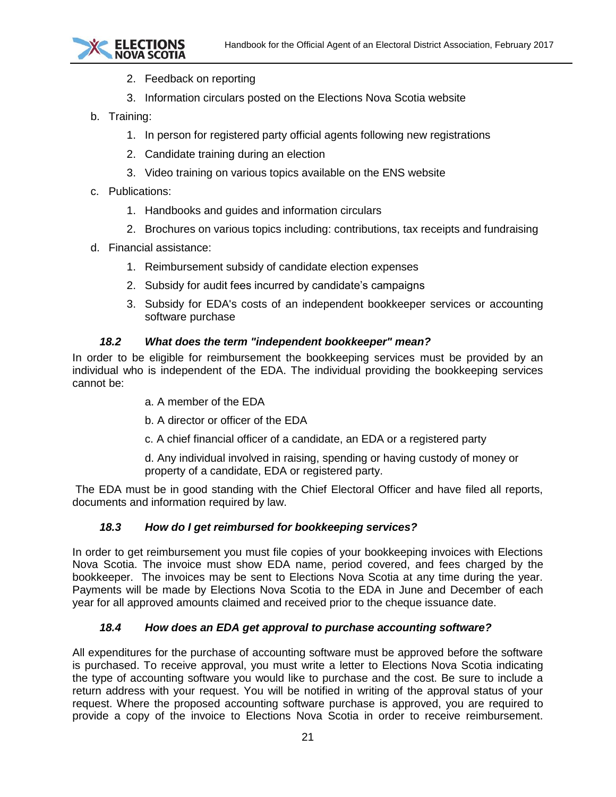

- 2. Feedback on reporting
- 3. Information circulars posted on the Elections Nova Scotia website
- b. Training:
	- 1. In person for registered party official agents following new registrations
	- 2. Candidate training during an election
	- 3. Video training on various topics available on the ENS website
- c. Publications:
	- 1. Handbooks and guides and information circulars
	- 2. Brochures on various topics including: contributions, tax receipts and fundraising
- d. Financial assistance:
	- 1. Reimbursement subsidy of candidate election expenses
	- 2. Subsidy for audit fees incurred by candidate's campaigns
	- 3. Subsidy for EDA's costs of an independent bookkeeper services or accounting software purchase

#### *18.2 What does the term "independent bookkeeper" mean?*

<span id="page-20-0"></span>In order to be eligible for reimbursement the bookkeeping services must be provided by an individual who is independent of the EDA. The individual providing the bookkeeping services cannot be:

- a. A member of the EDA
- b. A director or officer of the EDA
- c. A chief financial officer of a candidate, an EDA or a registered party

d. Any individual involved in raising, spending or having custody of money or property of a candidate, EDA or registered party.

<span id="page-20-1"></span>The EDA must be in good standing with the Chief Electoral Officer and have filed all reports, documents and information required by law.

#### *18.3 How do I get reimbursed for bookkeeping services?*

In order to get reimbursement you must file copies of your bookkeeping invoices with Elections Nova Scotia. The invoice must show EDA name, period covered, and fees charged by the bookkeeper. The invoices may be sent to Elections Nova Scotia at any time during the year. Payments will be made by Elections Nova Scotia to the EDA in June and December of each year for all approved amounts claimed and received prior to the cheque issuance date.

#### *18.4 How does an EDA get approval to purchase accounting software?*

<span id="page-20-2"></span>All expenditures for the purchase of accounting software must be approved before the software is purchased. To receive approval, you must write a letter to Elections Nova Scotia indicating the type of accounting software you would like to purchase and the cost. Be sure to include a return address with your request. You will be notified in writing of the approval status of your request. Where the proposed accounting software purchase is approved, you are required to provide a copy of the invoice to Elections Nova Scotia in order to receive reimbursement.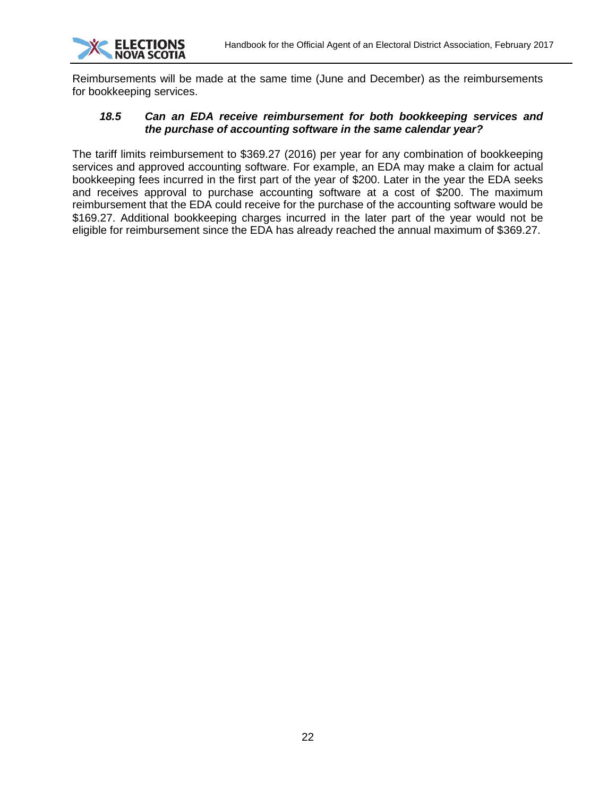

Reimbursements will be made at the same time (June and December) as the reimbursements for bookkeeping services.

#### <span id="page-21-0"></span>*18.5 Can an EDA receive reimbursement for both bookkeeping services and the purchase of accounting software in the same calendar year?*

The tariff limits reimbursement to \$369.27 (2016) per year for any combination of bookkeeping services and approved accounting software. For example, an EDA may make a claim for actual bookkeeping fees incurred in the first part of the year of \$200. Later in the year the EDA seeks and receives approval to purchase accounting software at a cost of \$200. The maximum reimbursement that the EDA could receive for the purchase of the accounting software would be \$169.27. Additional bookkeeping charges incurred in the later part of the year would not be eligible for reimbursement since the EDA has already reached the annual maximum of \$369.27.